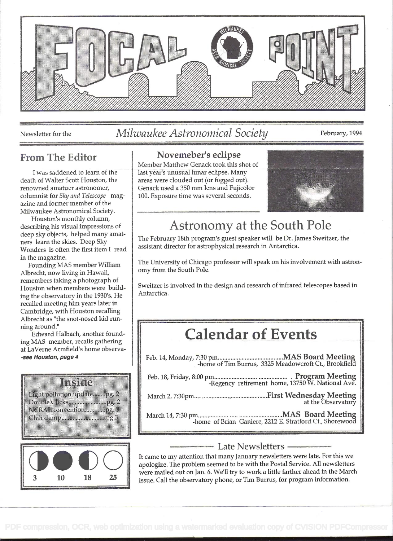

### Newsletter for the Milwaukee Astronomical Society February, 1994

### From The Editor

<sup>I</sup>was saddened to learn of the death of Walter Scott Houston, the renowned amatuer astronomer, columnist for Sky and Telescope magazine and former member of the Milwaukee Astronomical Society.

Houston's monthly column, describing his visual impressions of deep sky objects, helped many amatuers learn the skies. Deep Sky Wonders is often the first item I read in the magazine.

Founding MAS member Wiffiam Albrecht, now living in Hawaii, remembers taking a photograph of Houston when members were building the observatory in the 1930's. He recalled meeting him years later in Cambridge, with Houston recalling Albrecht as "the snot-nosed kid running around."

Edward Halbach, another founding MAS member, recalls gathering at LaVerne Armfield's home observa- -see Houston, page 4





#### Novemeber's eclipse

Member Matthew Genack took this shot of last year's unusual lunar eclipse. Many areas were clouded out (or fogged out). Genack used a 350 mm lens and Fujicolor 100. Exposure time was several seconds.



## Astronomy at the South Pole

The February 18th program's guest speaker will be Dr. James Sweitzer, the assistant director for astrophysical research in Antarctica.

The University of Chicago professor will speak on his involvement with astronomy from the South Pole.

Sweitzer is involved in the design and research of infrared telescopes based in Antarctica.

# Calendar of Events

Feb. 14, Monday, 7:30 pm ......................................... MAS Board Meeting -home of Tim Burrus, 3325 Meadowcroft Ct., Brookfield

Feb. 18, Friday, 8:00 pm .............................................. Program Meeting -Regency retirement home, 13750 W. National Ave.

March 2, 7:30pm ............................................. First Wednesday Meeting at the Observatory

March 14, 7:30 pm ................................................... MAS Board Meetin -home of Brian Ganiere, 2212 E. Stratford Ct., Shorewood

#### - Late Newsletters -

It came to my attention that many January newsletters were late. For this we apologize. The problem seemed to be with the Postal Service. All newsletters were mailed out on Jan. 6. We'll try to work a little farther ahead in the March issue. Call the observatory phone, or Tim Burrus, for program information.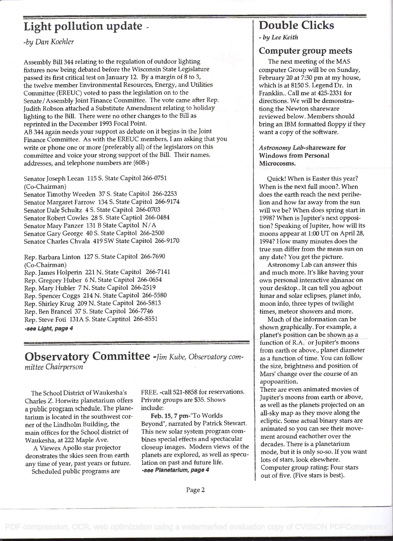### Light pollution update - Double Clicks

-by Dan Koehier

Assembly Bill 344 relating to the regulation of outdoor lighting fixtures now being debated before the Wisconsin State Legislature passed its first critical test on January 12. By a margin of 8 to 3, the twelve member Environmental Resources, Energy, and Utilities Committee (EREUC) voted to pass the legislation on to the Senate/Assembly Joint Finance Committee. The vote came after Rep. Judith Robson attached a Substitute Amendment relating to holiday lighting to the Bill. There were no other changes to the Bill as reprinted in the December 1993 Focal Point.

AB 344 again needs your support as debate on it begins in the Joint Finance Committee. As with the EREUC members, I am asking that you write or phone one or more (preferably all) of the legislators on this committee and voice your strong support of the Bill. Their names, addresses, and telephone numbers are (608-)

Senator Joseph Leean 115 S. State Capitol 266-0751 (Co-Chairman)

Senator Timothy Weeden 37 S. State Capitol 266-2253 Senator Margaret Farrow 134 S. State Capitol 266-9174 Senator Dale Schultz 4 S. State Capitol 266-0703 Senator Robert Cowles 28 S. State Captiol 266-0484 Senator Mary Panzer 131 B State Capitol N/A Senator Gary George 40 5. State Capitol 266-2500 Senator Charles Chvala 419 SW State Capitol 266-9170

Rep. Barbara Linton 127 S. State Capitol 266-7690 (Co-Chairman)

Rep. James Holperin 221 N. State Capitol 266-7141 Rep. Gregory Huber 6 N. State Capitol 266-0654 Rep. Mary Hubler 7 N. State Capitol 266-2519 Rep. Spencer Coggs 214 N. State Capitol 266-5580 Rep. Shirley Krug 209 N. State Capitol 266-5813 Rep. Ben Brancel 37 S. State Capitol 266-7746 Rep. Steve Foti 131A S. State Captitol 266-8551 -see Light, page 4

Observatory Committee -Jim Kube, Observatory committee Chairperson

The School District of Waukesha's Charles Z. Horwitz planetarium offers a public program schedule. The planetarium is located in the southwest corner of the Lindholm Building, the main offices for the School district of Waukesha, at 222 Maple Ave.

A Viewex Apollo star projector deonstrates the skies seen from earth any time of year, past years or future. Scheduled public programs are

FREE. -call 521-8858 for reservations. Private groups are \$35. Shows include:

Feb. 15, 7 pm-"To Worlds Beyond", narrated by Patrick Stewart. This new solar system program combines special effects and spectacular closeup images. Modern views of the planets are explored, as well as speculation on past and future life. -see Planetarium, page 4

- by Lee Keith

#### Computer group meets

The next meeting of the MAS computer Group will be on Sunday, February 20 at 7:30 pm at my house, which is at 8150 S. Legend Dr. in Franklin.. Call me at 425-2331 for directions. We will be demonstrationg the Newton shareware reviewed below. Members should bring an IBM formatted floppy if they want a copy of the software.

#### Astronomy Lab-shareware for Windows from Personal Microcosms.

Quick! When is Easter this year? When is the next full moon?. When does the earth reach the next perihelion and how far away from the sun will we be? When does spring start in 1998? When is Jupiter's next opposition? Speaking of Jupiter, how will its moons appear at 1:00 UT on April 28, 1994? How many minutes does the true sun differ from the mean sun on any date? You get the picture.

Astronomy Lab can answer this and much more. It's like having your own personal interactive almanac on your desktop.. It can tell you agbout lunar and solar eclipses, planet info, moon info, three types of twilight times, meteor showers and more.

Much of the information can be shown graphically. For example, a planet's position can be shown as a function of R.A. or Jupiter's moons from earth or above., planet diameter as a function of time. You can follow the size, brightness and position of Mars' change over the course of an apopoarition.

There are even animated movies of Jupiter's moons from earth or above, as well as the planets projected on an all-sky map as they move along the ecliptic. Some actual binary stars are animated so you can see their movement around eachother over the decades. There is a planetarium mode, but it is only so-so. If you want lots of stars, look elsewhere. Computer group rating: Four stars out of five. (Five stars is best).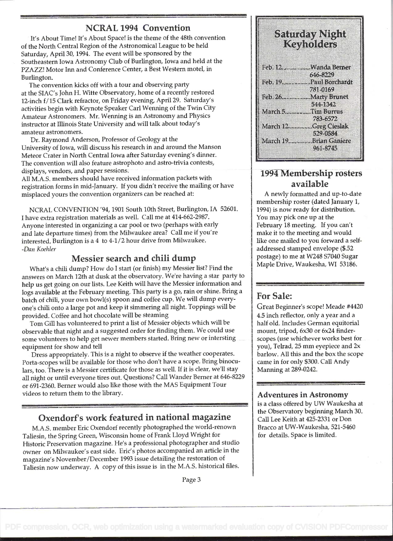#### NCRAL 1994 Convention

It's About Time! It's About Space! is the theme of the 48th convention of the North Central Region of the Astronomical League to be held Saturday, April 30, 1994. The event will be sponsored by the Southeastern Iowa Astronomy Club of Burlington, Iowa and held at the PZAZZ! Motor Inn and Conference Center, a Best Western motel, in Burlington.

The convention kicks off with a tour and observing party at the SIAC's John H. Witte Observatory, home of a recently restored 12-inch f/15 Clark refractor, on Friday evening, April 29. Saturday's activities begin with Keynote Speaker Carl Wenning of the Twin City Amateur Astronomers. Mr. Wenning is an Astronomy and Physics instructor at Illinois State University and will talk about today's amateur astronomers.

Dr. Raymond Anderson, Professor of Geology at the University of Iowa, will discuss his research in and around the Manson Meteor Crater in North Central Iowa after Saturday evening's dinner. The convention will also feature astrophoto and astro-trivia contests, displays, vendors, and paper sessions.

All M.A.S. members should have received information packets with registration forms in mid-January. If you didn't receive the mailing or have misplaced yours the convention organizers can be reached at:

NCRAL CONVENTION '94, 1901 South 10th Street, Burlington, IA 52601 I have extra registration materials as well. Call me at 414-662-2987. Anyone interested in organizing a car pooi or two (perhaps with early and late departure times) from the Milwaukee area? Call me if you're interested. Burlington is a 4 to 4-1/2 hour drive from Milwaukee. -Dan Koehier

#### Messier search and chili dump

What's a chili dump? How do I start (or finish) my Messier list? Find the answers on March 12th at dusk at the observatory. We're having a star party to help us get going on our lists. Lee Keith will have the Messier information and logs available at the February meeting. This party is a go, rain or shine. Bring a batch of chili, your own bowl(s) spoon and coffee cup. We will dump everyone's chili onto a large pot and keep it simmering all night. Toppings will be provided. Coffee and hot chocolate will be steaming

Tom Gill has volunteered to print a list of Messier objects which will be observable that night and a suggested order for finding them. We could use some volunteers to help get newer members started. Bring new or intersting equipment for show and tell

Dress appropriately. This is a night to observe if the weather cooperates. Porta-scopes will be available for those who don't have a scope. Bring binoculars, too. There is a Messier certificate for those as well. If it is clear, we'll stay all night or until everyone tires out. Questions? Call Wander Berner at 646-8229 or 691-2360. Berner would also like those with the MAS Equipment Tour videos to return them to the library.

#### Oxendorf's work featured in national magazine

M.A.S. member Eric Oxendorf recently photographed the world-renown Taliesin, the Spring Green, Wisconsin home of Frank Lloyd Wright for Historic Preservation magazine. He's a professional photographer and studio owner on Milwaukee's east side. Eric's photos accompanied an article in the magazine's November/December 1993 issue detailing the restoration of Taliesin now underway. A copy of this issue is in the M.A.S. historical files.

| Saturday Night<br>Keyholders |                                    |  |
|------------------------------|------------------------------------|--|
|                              | Feb. 12.  Wanda Berner             |  |
|                              | 64649229                           |  |
|                              | Feb. 19.  Paul Borchardt<br>zsedko |  |
|                              | Feb. 26Marty Brunet                |  |
|                              | 544-1342                           |  |
|                              | March 5 Fim Burrus<br>ASSISTA      |  |
|                              | March 12Greg Cieslak<br>529-0584   |  |
|                              | March 19Brian Gamere<br>9718.72 S  |  |

#### 1994 Membership rosters available

A newly formatted and up-to-date membership roster (dated January 1, 1994) is now ready for distribution. You may pick one up at the February 18 meeting. If you can't make it to the meeting and would like one mailed to you forward a selfaddressed stamped envelope (\$.52 postage) to me at W248 57040 Sugar Maple Drive, Waukesha, WI 53186.

#### For Sale:

Great Beginner's scope! Meade #4420 4.5 inch reflector, only a year and a half old. Includes German equitorial mount, tripod, 6x30 or 6x24 finderscopes (use whichever works best for you), Teirad, 25 mm eyepiece and 2x barlow. All this and the box the scope came in for only \$300. Call Andy Manning at 289-0242.

#### Adventures in Astronomy

is a class offered by UW Waukesha at the Observatory beginning March 30. Call Lee Keith at 425-2331 or Don Bracco at UW-Waukesha, 521-5460 for details. Space is limited.